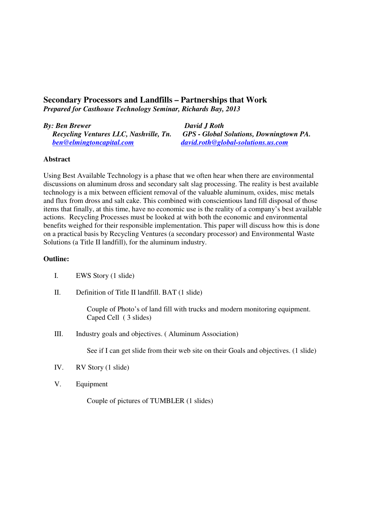## **Secondary Processors and Landfills – Partnerships that Work**  *Prepared for Casthouse Technology Seminar, Richards Bay, 2013*

## *By: Ben Brewer David J Roth*

 *ben@elmingtoncapital.com david.roth@global-solutions.us.com*

 *Recycling Ventures LLC, Nashville, Tn. GPS - Global Solutions, Downingtown PA.* 

## **Abstract**

Using Best Available Technology is a phase that we often hear when there are environmental discussions on aluminum dross and secondary salt slag processing. The reality is best available technology is a mix between efficient removal of the valuable aluminum, oxides, misc metals and flux from dross and salt cake. This combined with conscientious land fill disposal of those items that finally, at this time, have no economic use is the reality of a company's best available actions. Recycling Processes must be looked at with both the economic and environmental benefits weighed for their responsible implementation. This paper will discuss how this is done on a practical basis by Recycling Ventures (a secondary processor) and Environmental Waste Solutions (a Title II landfill), for the aluminum industry.

## **Outline:**

- I. EWS Story (1 slide)
- II. Definition of Title II landfill. BAT (1 slide)

Couple of Photo's of land fill with trucks and modern monitoring equipment. Caped Cell ( 3 slides)

III. Industry goals and objectives. ( Aluminum Association)

See if I can get slide from their web site on their Goals and objectives. (1 slide)

- IV. RV Story (1 slide)
- V. Equipment

Couple of pictures of TUMBLER (1 slides)